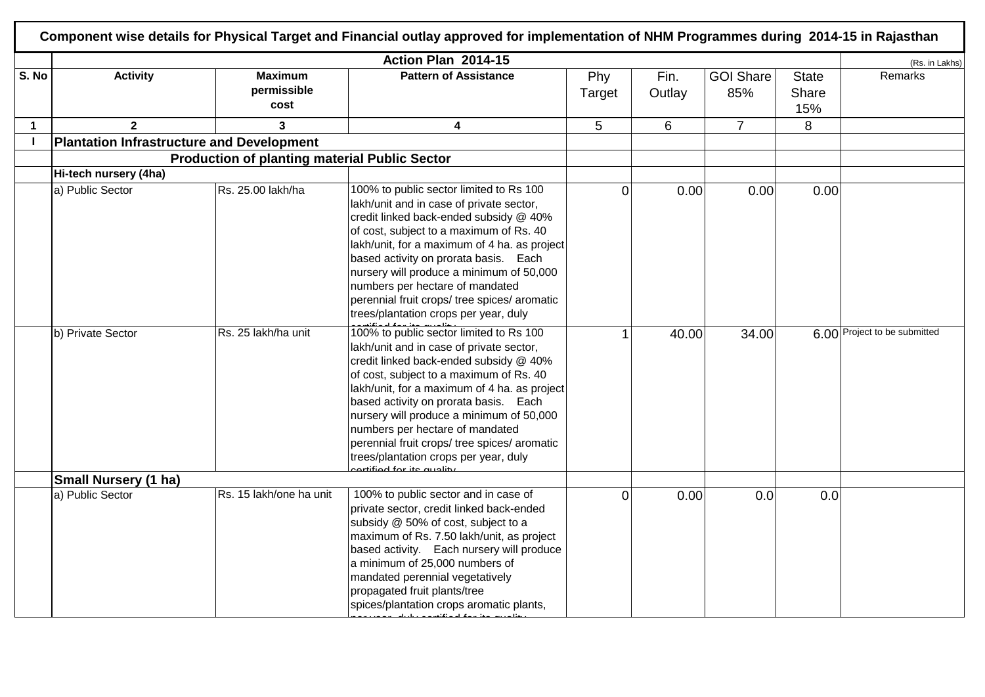|                |                                                  |                                                      | Action Plan 2014-15                                                                                                                                                                                                                                                                                                                                                                                                                                                         |                |                |                         |                              | (Rs. in Lakhs)               |
|----------------|--------------------------------------------------|------------------------------------------------------|-----------------------------------------------------------------------------------------------------------------------------------------------------------------------------------------------------------------------------------------------------------------------------------------------------------------------------------------------------------------------------------------------------------------------------------------------------------------------------|----------------|----------------|-------------------------|------------------------------|------------------------------|
| S. No          | <b>Activity</b>                                  | <b>Maximum</b><br>permissible<br>cost                | <b>Pattern of Assistance</b>                                                                                                                                                                                                                                                                                                                                                                                                                                                | Phy<br>Target  | Fin.<br>Outlay | <b>GOI Share</b><br>85% | <b>State</b><br>Share<br>15% | Remarks                      |
| $\mathbf{1}$   | $\overline{2}$                                   | $\mathbf{3}$                                         | $\overline{\mathbf{4}}$                                                                                                                                                                                                                                                                                                                                                                                                                                                     | 5 <sup>5</sup> | 6              | $\overline{7}$          | 8                            |                              |
| $\blacksquare$ | <b>Plantation Infrastructure and Development</b> |                                                      |                                                                                                                                                                                                                                                                                                                                                                                                                                                                             |                |                |                         |                              |                              |
|                |                                                  | <b>Production of planting material Public Sector</b> |                                                                                                                                                                                                                                                                                                                                                                                                                                                                             |                |                |                         |                              |                              |
|                | Hi-tech nursery (4ha)                            |                                                      |                                                                                                                                                                                                                                                                                                                                                                                                                                                                             |                |                |                         |                              |                              |
|                | a) Public Sector                                 | Rs. 25.00 lakh/ha                                    | 100% to public sector limited to Rs 100<br>lakh/unit and in case of private sector,<br>credit linked back-ended subsidy @ 40%<br>of cost, subject to a maximum of Rs. 40<br>lakh/unit, for a maximum of 4 ha. as project<br>based activity on prorata basis. Each<br>nursery will produce a minimum of 50,000<br>numbers per hectare of mandated<br>perennial fruit crops/ tree spices/ aromatic<br>trees/plantation crops per year, duly                                   | $\overline{0}$ | 0.00           | 0.00                    | 0.00                         |                              |
|                | b) Private Sector                                | Rs. 25 lakh/ha unit                                  | 100% to public sector limited to Rs 100<br>lakh/unit and in case of private sector,<br>credit linked back-ended subsidy @ 40%<br>of cost, subject to a maximum of Rs. 40<br>lakh/unit, for a maximum of 4 ha. as project<br>based activity on prorata basis. Each<br>nursery will produce a minimum of 50,000<br>numbers per hectare of mandated<br>perennial fruit crops/ tree spices/ aromatic<br>trees/plantation crops per year, duly<br><u>rtified for its quality</u> | 1              | 40.00          | 34.00                   |                              | 6.00 Project to be submitted |
|                | <b>Small Nursery (1 ha)</b>                      |                                                      |                                                                                                                                                                                                                                                                                                                                                                                                                                                                             |                |                |                         |                              |                              |
|                | a) Public Sector                                 | Rs. 15 lakh/one ha unit                              | 100% to public sector and in case of<br>private sector, credit linked back-ended<br>subsidy @ 50% of cost, subject to a<br>maximum of Rs. 7.50 lakh/unit, as project<br>based activity. Each nursery will produce<br>a minimum of 25,000 numbers of<br>mandated perennial vegetatively<br>propagated fruit plants/tree<br>spices/plantation crops aromatic plants,                                                                                                          | $\overline{0}$ | 0.00           | 0.0                     | 0.0                          |                              |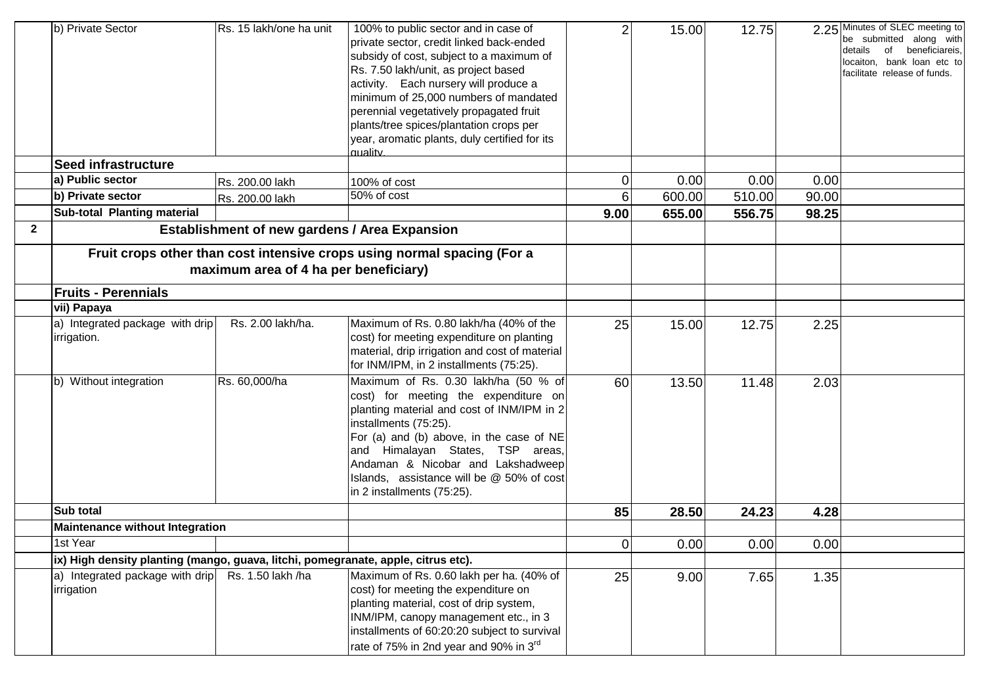|              | b) Private Sector                                                                 | Rs. 15 lakh/one ha unit                              | 100% to public sector and in case of<br>private sector, credit linked back-ended<br>subsidy of cost, subject to a maximum of<br>Rs. 7.50 lakh/unit, as project based<br>activity. Each nursery will produce a<br>minimum of 25,000 numbers of mandated<br>perennial vegetatively propagated fruit<br>plants/tree spices/plantation crops per<br>year, aromatic plants, duly certified for its | $\overline{2}$ | 15.00  | 12.75  |       | 2.25 Minutes of SLEC meeting to<br>be submitted along with<br>beneficiareis,<br>details<br>of<br>locaiton, bank loan etc to<br>facilitate release of funds. |
|--------------|-----------------------------------------------------------------------------------|------------------------------------------------------|-----------------------------------------------------------------------------------------------------------------------------------------------------------------------------------------------------------------------------------------------------------------------------------------------------------------------------------------------------------------------------------------------|----------------|--------|--------|-------|-------------------------------------------------------------------------------------------------------------------------------------------------------------|
|              | Seed infrastructure                                                               |                                                      | quality.                                                                                                                                                                                                                                                                                                                                                                                      |                |        |        |       |                                                                                                                                                             |
|              | a) Public sector                                                                  | Rs. 200.00 lakh                                      | 100% of cost                                                                                                                                                                                                                                                                                                                                                                                  | 0              | 0.00   | 0.00   | 0.00  |                                                                                                                                                             |
|              | b) Private sector                                                                 | Rs. 200.00 lakh                                      | 50% of cost                                                                                                                                                                                                                                                                                                                                                                                   | 6              | 600.00 | 510.00 | 90.00 |                                                                                                                                                             |
|              | Sub-total Planting material                                                       |                                                      |                                                                                                                                                                                                                                                                                                                                                                                               | 9.00           | 655.00 | 556.75 | 98.25 |                                                                                                                                                             |
| $\mathbf{2}$ |                                                                                   | <b>Establishment of new gardens / Area Expansion</b> |                                                                                                                                                                                                                                                                                                                                                                                               |                |        |        |       |                                                                                                                                                             |
|              |                                                                                   | maximum area of 4 ha per beneficiary)                | Fruit crops other than cost intensive crops using normal spacing (For a                                                                                                                                                                                                                                                                                                                       |                |        |        |       |                                                                                                                                                             |
|              | <b>Fruits - Perennials</b>                                                        |                                                      |                                                                                                                                                                                                                                                                                                                                                                                               |                |        |        |       |                                                                                                                                                             |
|              | vii) Papaya                                                                       |                                                      |                                                                                                                                                                                                                                                                                                                                                                                               |                |        |        |       |                                                                                                                                                             |
|              | a) Integrated package with drip<br>irrigation.                                    | Rs. 2.00 lakh/ha.                                    | Maximum of Rs. 0.80 lakh/ha (40% of the<br>cost) for meeting expenditure on planting<br>material, drip irrigation and cost of material<br>for INM/IPM, in 2 installments (75:25).                                                                                                                                                                                                             | 25             | 15.00  | 12.75  | 2.25  |                                                                                                                                                             |
|              | b) Without integration                                                            | Rs. 60,000/ha                                        | Maximum of Rs. 0.30 lakh/ha (50 % of<br>cost) for meeting the expenditure on<br>planting material and cost of INM/IPM in 2<br>installments (75:25).<br>For (a) and (b) above, in the case of NE<br>Himalayan States, TSP areas,<br>and<br>Andaman & Nicobar and Lakshadweep<br>Islands, assistance will be @ 50% of cost<br>in 2 installments (75:25).                                        | 60             | 13.50  | 11.48  | 2.03  |                                                                                                                                                             |
|              | Sub total                                                                         |                                                      |                                                                                                                                                                                                                                                                                                                                                                                               | 85             | 28.50  | 24.23  | 4.28  |                                                                                                                                                             |
|              | <b>Maintenance without Integration</b>                                            |                                                      |                                                                                                                                                                                                                                                                                                                                                                                               |                |        |        |       |                                                                                                                                                             |
|              | 1st Year                                                                          |                                                      |                                                                                                                                                                                                                                                                                                                                                                                               | $\Omega$       | 0.00   | 0.00   | 0.00  |                                                                                                                                                             |
|              | ix) High density planting (mango, guava, litchi, pomegranate, apple, citrus etc). |                                                      |                                                                                                                                                                                                                                                                                                                                                                                               |                |        |        |       |                                                                                                                                                             |
|              | a) Integrated package with drip<br>irrigation                                     | Rs. 1.50 lakh /ha                                    | Maximum of Rs. 0.60 lakh per ha. (40% of<br>cost) for meeting the expenditure on<br>planting material, cost of drip system,<br>INM/IPM, canopy management etc., in 3<br>installments of 60:20:20 subject to survival<br>rate of 75% in 2nd year and 90% in 3 $^{\text{rd}}$                                                                                                                   | 25             | 9.00   | 7.65   | 1.35  |                                                                                                                                                             |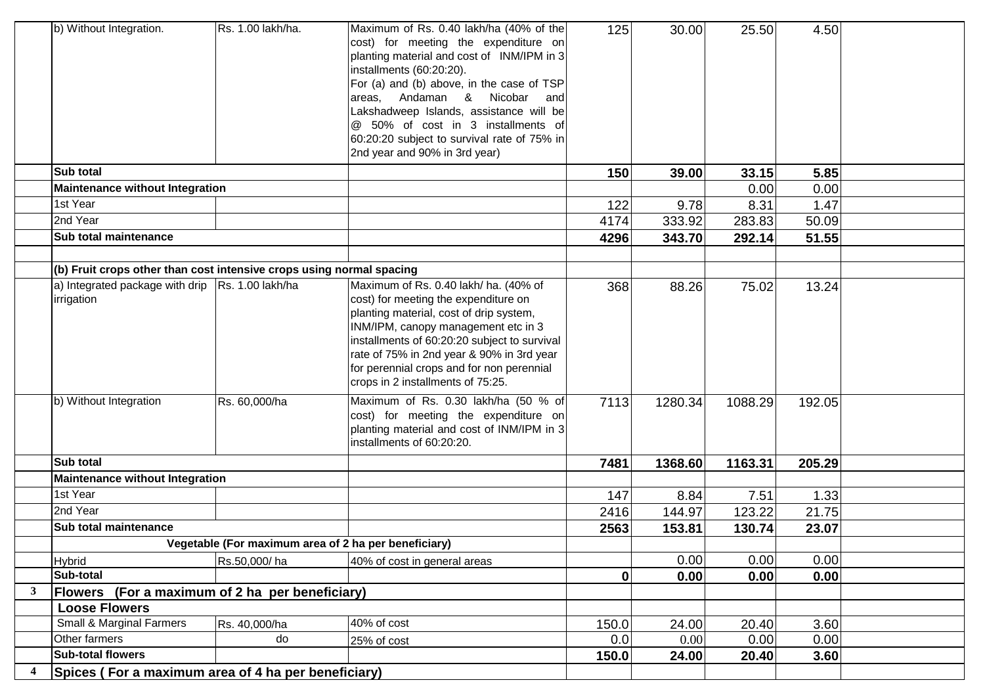|                         | b) Without Integration.                                              | Rs. 1.00 lakh/ha.                                    | Maximum of Rs. 0.40 lakh/ha (40% of the<br>cost) for meeting the expenditure on<br>planting material and cost of INM/IPM in 3<br>installments (60:20:20).<br>For (a) and (b) above, in the case of TSP<br>Nicobar<br>Andaman &<br>areas.<br>and<br>Lakshadweep Islands, assistance will be<br>@ 50% of cost in 3 installments of<br>60:20:20 subject to survival rate of 75% in<br>2nd year and 90% in 3rd year) | 125   | 30.00   | 25.50   | 4.50   |  |
|-------------------------|----------------------------------------------------------------------|------------------------------------------------------|------------------------------------------------------------------------------------------------------------------------------------------------------------------------------------------------------------------------------------------------------------------------------------------------------------------------------------------------------------------------------------------------------------------|-------|---------|---------|--------|--|
|                         | Sub total                                                            |                                                      |                                                                                                                                                                                                                                                                                                                                                                                                                  | 150   | 39.00   | 33.15   | 5.85   |  |
|                         | <b>Maintenance without Integration</b>                               |                                                      |                                                                                                                                                                                                                                                                                                                                                                                                                  |       |         | 0.00    | 0.00   |  |
|                         | 1st Year                                                             |                                                      |                                                                                                                                                                                                                                                                                                                                                                                                                  | 122   | 9.78    | 8.31    | 1.47   |  |
|                         | 2nd Year                                                             |                                                      |                                                                                                                                                                                                                                                                                                                                                                                                                  | 4174  | 333.92  | 283.83  | 50.09  |  |
|                         | Sub total maintenance                                                |                                                      |                                                                                                                                                                                                                                                                                                                                                                                                                  | 4296  | 343.70  | 292.14  | 51.55  |  |
|                         |                                                                      |                                                      |                                                                                                                                                                                                                                                                                                                                                                                                                  |       |         |         |        |  |
|                         | (b) Fruit crops other than cost intensive crops using normal spacing |                                                      |                                                                                                                                                                                                                                                                                                                                                                                                                  |       |         |         |        |  |
|                         | a) Integrated package with drip   Rs. 1.00 lakh/ha<br>irrigation     |                                                      | Maximum of Rs. 0.40 lakh/ ha. (40% of<br>cost) for meeting the expenditure on<br>planting material, cost of drip system,<br>INM/IPM, canopy management etc in 3<br>installments of 60:20:20 subject to survival<br>rate of 75% in 2nd year & 90% in 3rd year<br>for perennial crops and for non perennial<br>crops in 2 installments of 75:25.                                                                   | 368   | 88.26   | 75.02   | 13.24  |  |
|                         | b) Without Integration                                               | Rs. 60,000/ha                                        | Maximum of Rs. 0.30 lakh/ha (50 % of<br>cost) for meeting the expenditure on<br>planting material and cost of INM/IPM in 3<br>installments of 60:20:20.                                                                                                                                                                                                                                                          | 7113  | 1280.34 | 1088.29 | 192.05 |  |
|                         | Sub total                                                            |                                                      |                                                                                                                                                                                                                                                                                                                                                                                                                  | 7481  | 1368.60 | 1163.31 | 205.29 |  |
|                         | <b>Maintenance without Integration</b>                               |                                                      |                                                                                                                                                                                                                                                                                                                                                                                                                  |       |         |         |        |  |
|                         | 1st Year                                                             |                                                      |                                                                                                                                                                                                                                                                                                                                                                                                                  | 147   | 8.84    | 7.51    | 1.33   |  |
|                         | 2nd Year                                                             |                                                      |                                                                                                                                                                                                                                                                                                                                                                                                                  | 2416  | 144.97  | 123.22  | 21.75  |  |
|                         | Sub total maintenance                                                |                                                      |                                                                                                                                                                                                                                                                                                                                                                                                                  | 2563  | 153.81  | 130.74  | 23.07  |  |
|                         |                                                                      | Vegetable (For maximum area of 2 ha per beneficiary) |                                                                                                                                                                                                                                                                                                                                                                                                                  |       |         |         |        |  |
|                         | <b>Hybrid</b>                                                        | Rs.50,000/ha                                         | 40% of cost in general areas                                                                                                                                                                                                                                                                                                                                                                                     |       | 0.00    | 0.00    | 0.00   |  |
|                         | Sub-total                                                            |                                                      |                                                                                                                                                                                                                                                                                                                                                                                                                  | 0     | 0.00    | 0.00    | 0.00   |  |
| 3                       | Flowers (For a maximum of 2 ha per beneficiary)                      |                                                      |                                                                                                                                                                                                                                                                                                                                                                                                                  |       |         |         |        |  |
|                         | <b>Loose Flowers</b>                                                 |                                                      |                                                                                                                                                                                                                                                                                                                                                                                                                  |       |         |         |        |  |
|                         | Small & Marginal Farmers                                             | Rs. 40,000/ha                                        | 40% of cost                                                                                                                                                                                                                                                                                                                                                                                                      | 150.0 | 24.00   | 20.40   | 3.60   |  |
|                         | Other farmers                                                        | do                                                   | 25% of cost                                                                                                                                                                                                                                                                                                                                                                                                      | 0.0   | 0.00    | 0.00    | 0.00   |  |
|                         | <b>Sub-total flowers</b>                                             |                                                      |                                                                                                                                                                                                                                                                                                                                                                                                                  | 150.0 | 24.00   | 20.40   | 3.60   |  |
| $\overline{\mathbf{4}}$ | Spices (For a maximum area of 4 ha per beneficiary)                  |                                                      |                                                                                                                                                                                                                                                                                                                                                                                                                  |       |         |         |        |  |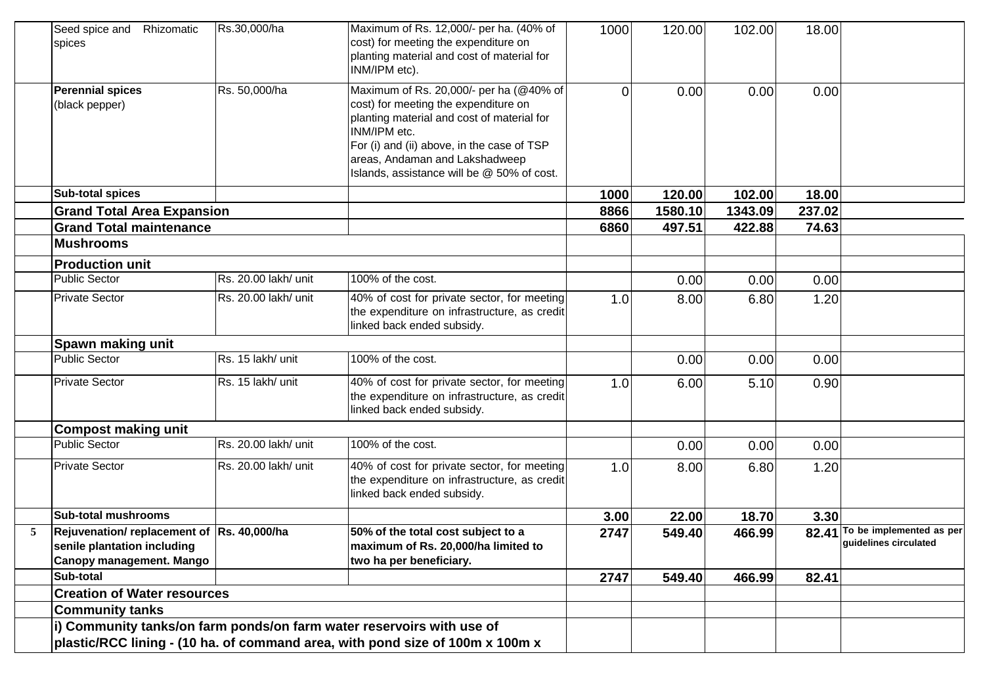|   | Seed spice and Rhizomatic<br>spices                                                                    | Rs.30,000/ha         | Maximum of Rs. 12,000/- per ha. (40% of<br>cost) for meeting the expenditure on<br>planting material and cost of material for<br>INM/IPM etc).                                                                                                                              | 1000 | 120.00  | 102.00  | 18.00  |                                                         |
|---|--------------------------------------------------------------------------------------------------------|----------------------|-----------------------------------------------------------------------------------------------------------------------------------------------------------------------------------------------------------------------------------------------------------------------------|------|---------|---------|--------|---------------------------------------------------------|
|   | <b>Perennial spices</b><br>(black pepper)                                                              | Rs. 50,000/ha        | Maximum of Rs. 20,000/- per ha (@40% of<br>cost) for meeting the expenditure on<br>planting material and cost of material for<br>INM/IPM etc.<br>For (i) and (ii) above, in the case of TSP<br>areas, Andaman and Lakshadweep<br>Islands, assistance will be @ 50% of cost. | 0    | 0.00    | 0.00    | 0.00   |                                                         |
|   | <b>Sub-total spices</b>                                                                                |                      |                                                                                                                                                                                                                                                                             | 1000 | 120.00  | 102.00  | 18.00  |                                                         |
|   | <b>Grand Total Area Expansion</b>                                                                      |                      |                                                                                                                                                                                                                                                                             | 8866 | 1580.10 | 1343.09 | 237.02 |                                                         |
|   | <b>Grand Total maintenance</b>                                                                         |                      |                                                                                                                                                                                                                                                                             | 6860 | 497.51  | 422.88  | 74.63  |                                                         |
|   | <b>Mushrooms</b>                                                                                       |                      |                                                                                                                                                                                                                                                                             |      |         |         |        |                                                         |
|   | <b>Production unit</b>                                                                                 |                      |                                                                                                                                                                                                                                                                             |      |         |         |        |                                                         |
|   | <b>Public Sector</b>                                                                                   | Rs. 20.00 lakh/ unit | 100% of the cost.                                                                                                                                                                                                                                                           |      | 0.00    | 0.00    | 0.00   |                                                         |
|   | <b>Private Sector</b>                                                                                  | Rs. 20.00 lakh/ unit | 40% of cost for private sector, for meeting<br>the expenditure on infrastructure, as credit<br>linked back ended subsidy.                                                                                                                                                   | 1.0  | 8.00    | 6.80    | 1.20   |                                                         |
|   | Spawn making unit                                                                                      |                      |                                                                                                                                                                                                                                                                             |      |         |         |        |                                                         |
|   | <b>Public Sector</b>                                                                                   | Rs. 15 lakh/ unit    | 100% of the cost.                                                                                                                                                                                                                                                           |      | 0.00    | 0.00    | 0.00   |                                                         |
|   | <b>Private Sector</b>                                                                                  | Rs. 15 lakh/ unit    | 40% of cost for private sector, for meeting<br>the expenditure on infrastructure, as credit<br>linked back ended subsidy.                                                                                                                                                   | 1.0  | 6.00    | 5.10    | 0.90   |                                                         |
|   | <b>Compost making unit</b>                                                                             |                      |                                                                                                                                                                                                                                                                             |      |         |         |        |                                                         |
|   | <b>Public Sector</b>                                                                                   | Rs. 20.00 lakh/ unit | 100% of the cost.                                                                                                                                                                                                                                                           |      | 0.00    | 0.00    | 0.00   |                                                         |
|   | <b>Private Sector</b>                                                                                  | Rs. 20.00 lakh/ unit | 40% of cost for private sector, for meeting<br>the expenditure on infrastructure, as credit<br>linked back ended subsidy.                                                                                                                                                   | 1.0  | 8.00    | 6.80    | 1.20   |                                                         |
|   | <b>Sub-total mushrooms</b>                                                                             |                      |                                                                                                                                                                                                                                                                             | 3.00 | 22.00   | 18.70   | 3.30   |                                                         |
| 5 | Rejuvenation/ replacement of  Rs. 40,000/ha<br>senile plantation including<br>Canopy management. Mango |                      | 50% of the total cost subject to a<br>maximum of Rs. 20,000/ha limited to<br>two ha per beneficiary.                                                                                                                                                                        | 2747 | 549.40  | 466.99  |        | 82.41 To be implemented as per<br>guidelines circulated |
|   | Sub-total                                                                                              |                      |                                                                                                                                                                                                                                                                             | 2747 | 549.40  | 466.99  | 82.41  |                                                         |
|   | <b>Creation of Water resources</b>                                                                     |                      |                                                                                                                                                                                                                                                                             |      |         |         |        |                                                         |
|   | <b>Community tanks</b>                                                                                 |                      |                                                                                                                                                                                                                                                                             |      |         |         |        |                                                         |
|   |                                                                                                        |                      | i) Community tanks/on farm ponds/on farm water reservoirs with use of<br>plastic/RCC lining - (10 ha. of command area, with pond size of 100m x 100m x                                                                                                                      |      |         |         |        |                                                         |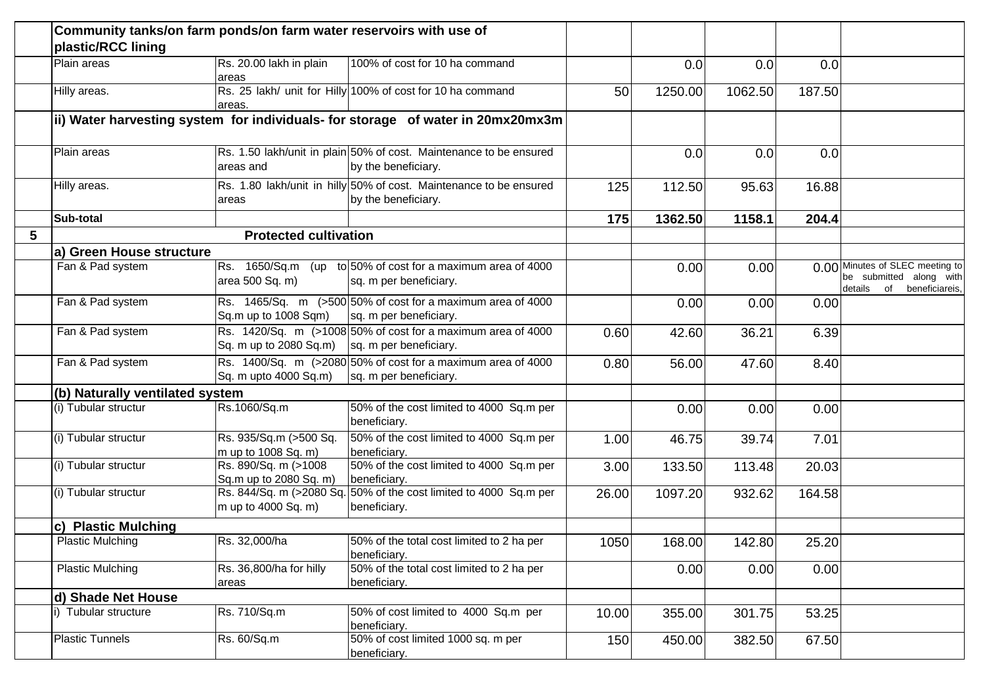|   | plastic/RCC lining              | Community tanks/on farm ponds/on farm water reservoirs with use of |                                                                                           |       |         |         |        |                                                                                         |
|---|---------------------------------|--------------------------------------------------------------------|-------------------------------------------------------------------------------------------|-------|---------|---------|--------|-----------------------------------------------------------------------------------------|
|   | Plain areas                     | Rs. 20.00 lakh in plain<br>areas                                   | 100% of cost for 10 ha command                                                            |       | 0.0     | 0.0     | 0.0    |                                                                                         |
|   | Hilly areas.                    | areas.                                                             | Rs. 25 lakh/ unit for Hilly 100% of cost for 10 ha command                                | 50    | 1250.00 | 1062.50 | 187.50 |                                                                                         |
|   |                                 |                                                                    | ii) Water harvesting system for individuals- for storage of water in 20mx20mx3m           |       |         |         |        |                                                                                         |
|   | Plain areas                     | areas and                                                          | Rs. 1.50 lakh/unit in plain 50% of cost. Maintenance to be ensured<br>by the beneficiary. |       | 0.0     | 0.0     | 0.0    |                                                                                         |
|   | Hilly areas.                    | areas                                                              | Rs. 1.80 lakh/unit in hilly 50% of cost. Maintenance to be ensured<br>by the beneficiary. | 125   | 112.50  | 95.63   | 16.88  |                                                                                         |
|   | Sub-total                       |                                                                    |                                                                                           | 175   | 1362.50 | 1158.1  | 204.4  |                                                                                         |
| 5 |                                 | <b>Protected cultivation</b>                                       |                                                                                           |       |         |         |        |                                                                                         |
|   | a) Green House structure        |                                                                    |                                                                                           |       |         |         |        |                                                                                         |
|   | Fan & Pad system                | area 500 Sq. m)                                                    | Rs. 1650/Sq.m (up to 50% of cost for a maximum area of 4000<br>sq. m per beneficiary.     |       | 0.00    | 0.00    |        | 0.00 Minutes of SLEC meeting to<br>be submitted along with<br>details of beneficiareis, |
|   | Fan & Pad system                | Sq.m up to 1008 Sqm)                                               | Rs. 1465/Sq. m $(>500 50\%$ of cost for a maximum area of 4000<br>sq. m per beneficiary.  |       | 0.00    | 0.00    | 0.00   |                                                                                         |
|   | Fan & Pad system                | Sq. m up to 2080 Sq.m) $\vert$ sq. m per beneficiary.              | Rs. 1420/Sq. m (>1008 50% of cost for a maximum area of 4000                              | 0.60  | 42.60   | 36.21   | 6.39   |                                                                                         |
|   | Fan & Pad system                | Sq. m upto 4000 Sq.m)                                              | Rs. 1400/Sq. m (>2080 50% of cost for a maximum area of 4000<br>sq. m per beneficiary.    | 0.80  | 56.00   | 47.60   | 8.40   |                                                                                         |
|   | (b) Naturally ventilated system |                                                                    |                                                                                           |       |         |         |        |                                                                                         |
|   | (i) Tubular structur            | Rs.1060/Sq.m                                                       | 50% of the cost limited to 4000 Sq.m per<br>beneficiary.                                  |       | 0.00    | 0.00    | 0.00   |                                                                                         |
|   | (i) Tubular structur            | Rs. 935/Sq.m (>500 Sq.<br>m up to 1008 Sq. m)                      | 50% of the cost limited to 4000 Sq.m per<br>beneficiary.                                  | 1.00  | 46.75   | 39.74   | 7.01   |                                                                                         |
|   | (i) Tubular structur            | Rs. 890/Sq. m (>1008<br>Sq.m up to 2080 Sq. m)                     | 50% of the cost limited to 4000 Sq.m per<br>beneficiary.                                  | 3.00  | 133.50  | 113.48  | 20.03  |                                                                                         |
|   | (i) Tubular structur            | m up to 4000 Sq. m)                                                | Rs. 844/Sq. m (>2080 Sq. 50% of the cost limited to 4000 Sq.m per<br>beneficiary.         | 26.00 | 1097.20 | 932.62  | 164.58 |                                                                                         |
|   | c) Plastic Mulching             |                                                                    |                                                                                           |       |         |         |        |                                                                                         |
|   | <b>Plastic Mulching</b>         | Rs. 32,000/ha                                                      | 50% of the total cost limited to 2 ha per<br>beneficiary.                                 | 1050  | 168.00  | 142.80  | 25.20  |                                                                                         |
|   | <b>Plastic Mulching</b>         | Rs. 36,800/ha for hilly<br>areas                                   | 50% of the total cost limited to 2 ha per<br>beneficiary.                                 |       | 0.00    | 0.00    | 0.00   |                                                                                         |
|   | d) Shade Net House              |                                                                    |                                                                                           |       |         |         |        |                                                                                         |
|   | i) Tubular structure            | Rs. 710/Sq.m                                                       | 50% of cost limited to 4000 Sq.m per<br>beneficiary.                                      | 10.00 | 355.00  | 301.75  | 53.25  |                                                                                         |
|   | <b>Plastic Tunnels</b>          | Rs. 60/Sq.m                                                        | 50% of cost limited 1000 sq. m per<br>beneficiary.                                        | 150   | 450.00  | 382.50  | 67.50  |                                                                                         |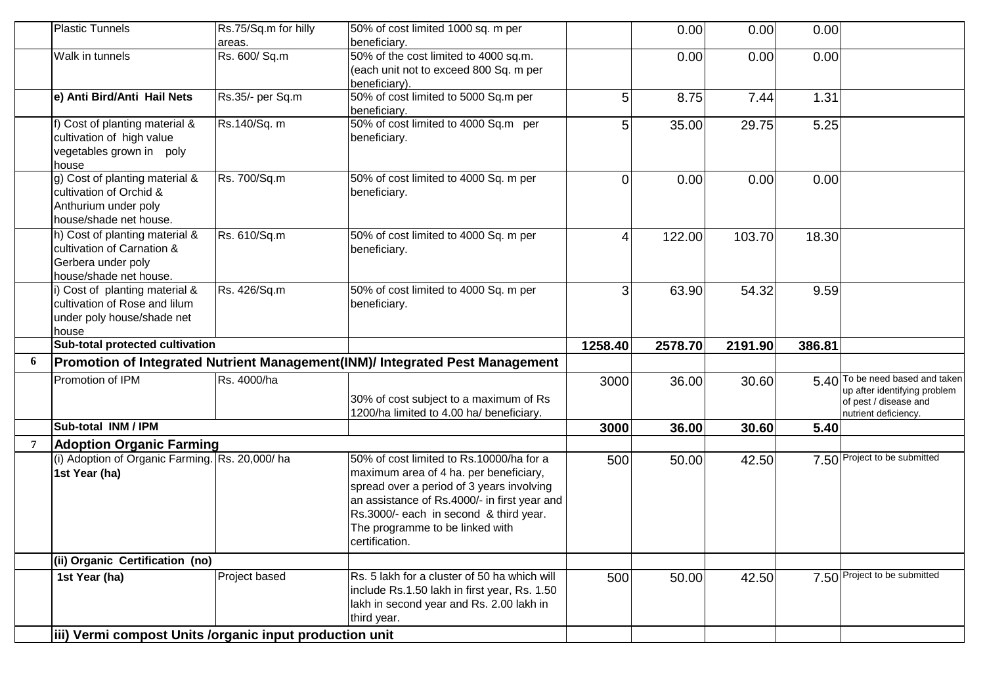|    | <b>Plastic Tunnels</b>                                  | Rs.75/Sq.m for hilly | 50% of cost limited 1000 sq. m per                                           |                | 0.00    | 0.00    | 0.00   |                                                       |
|----|---------------------------------------------------------|----------------------|------------------------------------------------------------------------------|----------------|---------|---------|--------|-------------------------------------------------------|
|    |                                                         | areas.               | beneficiary.                                                                 |                |         |         |        |                                                       |
|    | Walk in tunnels                                         | Rs. 600/ Sq.m        | 50% of the cost limited to 4000 sq.m.                                        |                | 0.00    | 0.00    | 0.00   |                                                       |
|    |                                                         |                      | (each unit not to exceed 800 Sq. m per                                       |                |         |         |        |                                                       |
|    |                                                         | Rs.35/- per Sq.m     | beneficiary).                                                                |                |         |         |        |                                                       |
|    | e) Anti Bird/Anti Hail Nets                             |                      | 50% of cost limited to 5000 Sq.m per<br>beneficiary.                         | 5              | 8.75    | 7.44    | 1.31   |                                                       |
|    | f) Cost of planting material &                          | Rs.140/Sq. m         | 50% of cost limited to 4000 Sq.m per                                         | 5 <sup>1</sup> | 35.00   | 29.75   | 5.25   |                                                       |
|    | cultivation of high value                               |                      | beneficiary.                                                                 |                |         |         |        |                                                       |
|    | vegetables grown in poly                                |                      |                                                                              |                |         |         |        |                                                       |
|    | house                                                   |                      |                                                                              |                |         |         |        |                                                       |
|    | g) Cost of planting material &                          | Rs. 700/Sq.m         | 50% of cost limited to 4000 Sq. m per                                        | $\overline{0}$ | 0.00    | 0.00    | 0.00   |                                                       |
|    | cultivation of Orchid &                                 |                      | beneficiary.                                                                 |                |         |         |        |                                                       |
|    | Anthurium under poly                                    |                      |                                                                              |                |         |         |        |                                                       |
|    | house/shade net house.                                  |                      |                                                                              |                |         |         |        |                                                       |
|    | h) Cost of planting material &                          | Rs. 610/Sq.m         | 50% of cost limited to 4000 Sq. m per                                        | 4              | 122.00  | 103.70  | 18.30  |                                                       |
|    | cultivation of Carnation &                              |                      | beneficiary.                                                                 |                |         |         |        |                                                       |
|    | Gerbera under poly                                      |                      |                                                                              |                |         |         |        |                                                       |
|    | house/shade net house.                                  |                      |                                                                              |                |         |         |        |                                                       |
|    | i) Cost of planting material &                          | Rs. 426/Sq.m         | 50% of cost limited to 4000 Sq. m per                                        | 3 <sup>1</sup> | 63.90   | 54.32   | 9.59   |                                                       |
|    | cultivation of Rose and lilum                           |                      | beneficiary.                                                                 |                |         |         |        |                                                       |
|    | under poly house/shade net                              |                      |                                                                              |                |         |         |        |                                                       |
|    |                                                         |                      |                                                                              |                |         |         |        |                                                       |
|    | house                                                   |                      |                                                                              |                |         |         |        |                                                       |
|    | Sub-total protected cultivation                         |                      |                                                                              | 1258.40        | 2578.70 | 2191.90 | 386.81 |                                                       |
| -6 |                                                         |                      | Promotion of Integrated Nutrient Management(INM)/ Integrated Pest Management |                |         |         |        |                                                       |
|    | Promotion of IPM                                        | Rs. 4000/ha          |                                                                              | 3000           | 36.00   | 30.60   |        | 5.40 To be need based and taken                       |
|    |                                                         |                      | 30% of cost subject to a maximum of Rs                                       |                |         |         |        | up after identifying problem<br>of pest / disease and |
|    |                                                         |                      | 1200/ha limited to 4.00 ha/ beneficiary.                                     |                |         |         |        | nutrient deficiency.                                  |
|    | Sub-total INM / IPM                                     |                      |                                                                              | 3000           | 36.00   | 30.60   | 5.40   |                                                       |
|    | <b>Adoption Organic Farming</b>                         |                      |                                                                              |                |         |         |        |                                                       |
|    | (i) Adoption of Organic Farming. Rs. 20,000/ha          |                      | 50% of cost limited to Rs.10000/ha for a                                     | 500            | 50.00   | 42.50   |        | 7.50 Project to be submitted                          |
|    | 1st Year (ha)                                           |                      | maximum area of 4 ha. per beneficiary,                                       |                |         |         |        |                                                       |
|    |                                                         |                      | spread over a period of 3 years involving                                    |                |         |         |        |                                                       |
|    |                                                         |                      | an assistance of Rs.4000/- in first year and                                 |                |         |         |        |                                                       |
|    |                                                         |                      | Rs.3000/- each in second & third year.                                       |                |         |         |        |                                                       |
|    |                                                         |                      | The programme to be linked with                                              |                |         |         |        |                                                       |
|    |                                                         |                      | certification.                                                               |                |         |         |        |                                                       |
|    | (ii) Organic Certification (no)                         |                      |                                                                              |                |         |         |        |                                                       |
|    | 1st Year (ha)                                           | Project based        | Rs. 5 lakh for a cluster of 50 ha which will                                 | 500            | 50.00   | 42.50   |        | 7.50 Project to be submitted                          |
|    |                                                         |                      | include Rs.1.50 lakh in first year, Rs. 1.50                                 |                |         |         |        |                                                       |
|    |                                                         |                      | lakh in second year and Rs. 2.00 lakh in                                     |                |         |         |        |                                                       |
|    | iii) Vermi compost Units /organic input production unit |                      | third year.                                                                  |                |         |         |        |                                                       |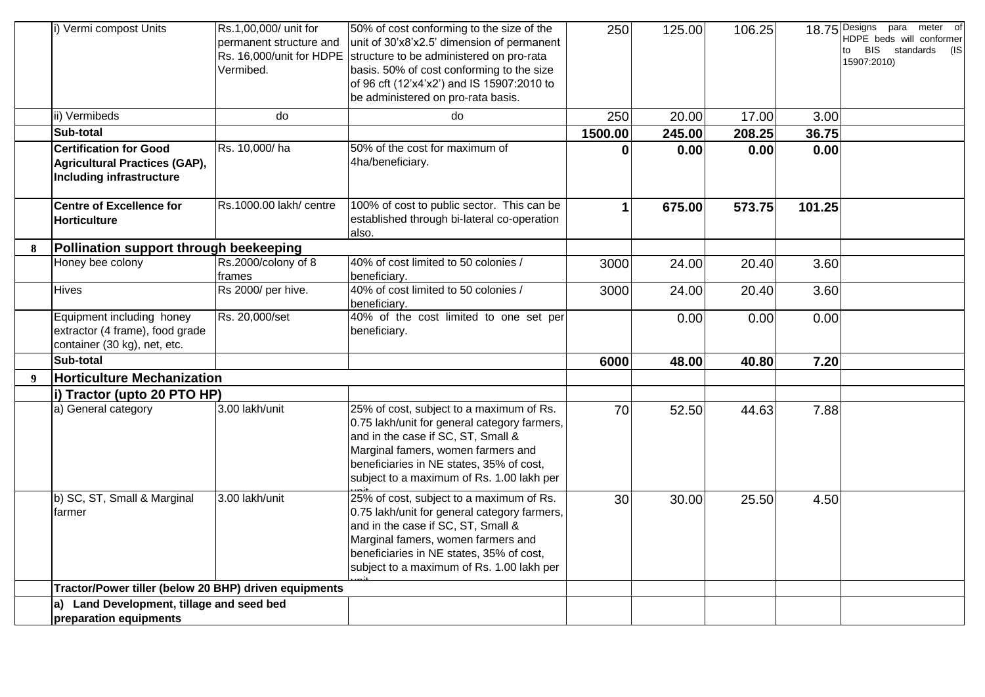|   | i) Vermi compost Units                                                                            | Rs.1,00,000/ unit for<br>permanent structure and<br>Rs. 16,000/unit for HDPE<br>Vermibed. | 50% of cost conforming to the size of the<br>unit of 30'x8'x2.5' dimension of permanent<br>structure to be administered on pro-rata<br>basis. 50% of cost conforming to the size<br>of 96 cft (12'x4'x2') and IS 15907:2010 to<br>be administered on pro-rata basis. | 250          | 125.00 | 106.25 |        | $\circ$<br>18.75 Designs para meter<br>HDPE beds will conformer<br>to BIS standards<br>(IS<br>15907:2010) |
|---|---------------------------------------------------------------------------------------------------|-------------------------------------------------------------------------------------------|----------------------------------------------------------------------------------------------------------------------------------------------------------------------------------------------------------------------------------------------------------------------|--------------|--------|--------|--------|-----------------------------------------------------------------------------------------------------------|
|   | ii) Vermibeds                                                                                     | do                                                                                        | do                                                                                                                                                                                                                                                                   | 250          | 20.00  | 17.00  | 3.00   |                                                                                                           |
|   | Sub-total                                                                                         |                                                                                           |                                                                                                                                                                                                                                                                      | 1500.00      | 245.00 | 208.25 | 36.75  |                                                                                                           |
|   | <b>Certification for Good</b><br>Agricultural Practices (GAP),<br><b>Including infrastructure</b> | Rs. 10,000/ha                                                                             | 50% of the cost for maximum of<br>4ha/beneficiary.                                                                                                                                                                                                                   | 0            | 0.00   | 0.00   | 0.00   |                                                                                                           |
|   | <b>Centre of Excellence for</b><br><b>Horticulture</b>                                            | Rs.1000.00 lakh/ centre                                                                   | 100% of cost to public sector. This can be<br>established through bi-lateral co-operation<br>also.                                                                                                                                                                   | $\mathbf{1}$ | 675.00 | 573.75 | 101.25 |                                                                                                           |
| 8 | Pollination support through beekeeping                                                            |                                                                                           |                                                                                                                                                                                                                                                                      |              |        |        |        |                                                                                                           |
|   | Honey bee colony                                                                                  | Rs.2000/colony of 8<br>frames                                                             | 40% of cost limited to 50 colonies /<br>beneficiary.                                                                                                                                                                                                                 | 3000         | 24.00  | 20.40  | 3.60   |                                                                                                           |
|   | <b>Hives</b>                                                                                      | Rs 2000/ per hive.                                                                        | 40% of cost limited to 50 colonies /<br>beneficiary.                                                                                                                                                                                                                 | 3000         | 24.00  | 20.40  | 3.60   |                                                                                                           |
|   | Equipment including honey<br>extractor (4 frame), food grade<br>container (30 kg), net, etc.      | Rs. 20,000/set                                                                            | 40% of the cost limited to one set per<br>beneficiary.                                                                                                                                                                                                               |              | 0.00   | 0.00   | 0.00   |                                                                                                           |
|   | Sub-total                                                                                         |                                                                                           |                                                                                                                                                                                                                                                                      | 6000         | 48.00  | 40.80  | 7.20   |                                                                                                           |
| 9 | <b>Horticulture Mechanization</b>                                                                 |                                                                                           |                                                                                                                                                                                                                                                                      |              |        |        |        |                                                                                                           |
|   | i) Tractor (upto 20 PTO HP)                                                                       |                                                                                           |                                                                                                                                                                                                                                                                      |              |        |        |        |                                                                                                           |
|   | a) General category                                                                               | 3.00 lakh/unit                                                                            | 25% of cost, subject to a maximum of Rs.<br>0.75 lakh/unit for general category farmers,<br>and in the case if SC, ST, Small &<br>Marginal famers, women farmers and<br>beneficiaries in NE states, 35% of cost,<br>subject to a maximum of Rs. 1.00 lakh per        | 70           | 52.50  | 44.63  | 7.88   |                                                                                                           |
|   | b) SC, ST, Small & Marginal<br>farmer                                                             | 3.00 lakh/unit                                                                            | 25% of cost, subject to a maximum of Rs.<br>0.75 lakh/unit for general category farmers,<br>and in the case if SC, ST, Small &<br>Marginal famers, women farmers and<br>beneficiaries in NE states, 35% of cost,<br>subject to a maximum of Rs. 1.00 lakh per        | 30           | 30.00  | 25.50  | 4.50   |                                                                                                           |
|   | Tractor/Power tiller (below 20 BHP) driven equipments                                             |                                                                                           |                                                                                                                                                                                                                                                                      |              |        |        |        |                                                                                                           |
|   | a) Land Development, tillage and seed bed<br>preparation equipments                               |                                                                                           |                                                                                                                                                                                                                                                                      |              |        |        |        |                                                                                                           |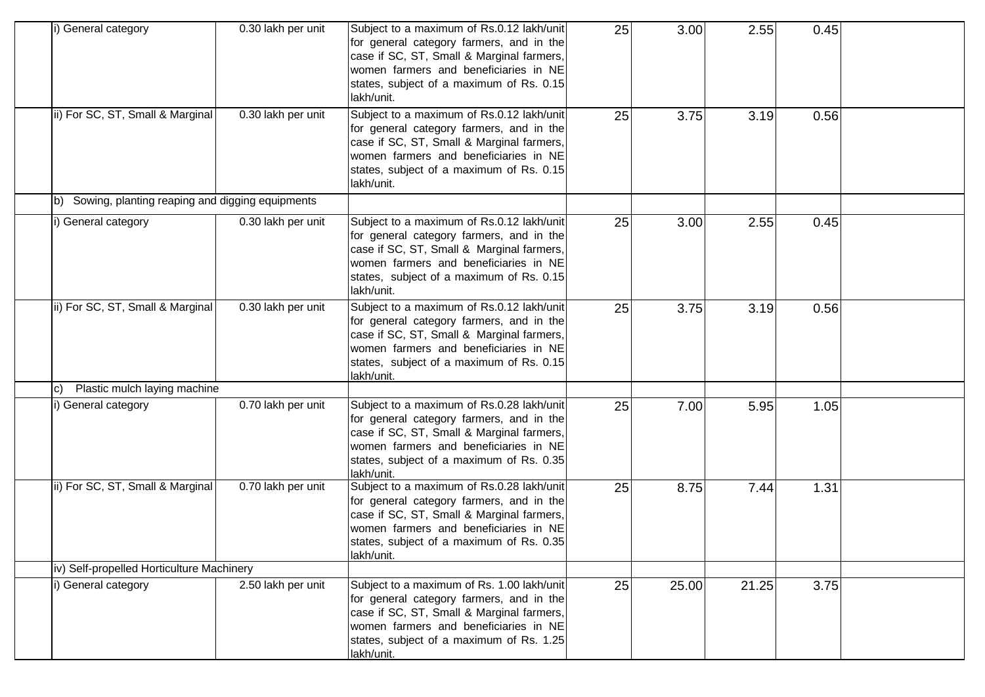| i) General category                                   | 0.30 lakh per unit | Subject to a maximum of Rs.0.12 lakh/unit<br>for general category farmers, and in the<br>case if SC, ST, Small & Marginal farmers,<br>women farmers and beneficiaries in NE<br>states, subject of a maximum of Rs. 0.15<br>lakh/unit.  | 25 | 3.00  | 2.55  | 0.45 |  |
|-------------------------------------------------------|--------------------|----------------------------------------------------------------------------------------------------------------------------------------------------------------------------------------------------------------------------------------|----|-------|-------|------|--|
| ii) For SC, ST, Small & Marginal                      | 0.30 lakh per unit | Subject to a maximum of Rs.0.12 lakh/unit<br>for general category farmers, and in the<br>case if SC, ST, Small & Marginal farmers,<br>women farmers and beneficiaries in NE<br>states, subject of a maximum of Rs. 0.15<br>lakh/unit.  | 25 | 3.75  | 3.19  | 0.56 |  |
| Sowing, planting reaping and digging equipments<br>b) |                    |                                                                                                                                                                                                                                        |    |       |       |      |  |
| i) General category                                   | 0.30 lakh per unit | Subject to a maximum of Rs.0.12 lakh/unit<br>for general category farmers, and in the<br>case if SC, ST, Small & Marginal farmers,<br>women farmers and beneficiaries in NE<br>states, subject of a maximum of Rs. 0.15<br>lakh/unit.  | 25 | 3.00  | 2.55  | 0.45 |  |
| ii) For SC, ST, Small & Marginal                      | 0.30 lakh per unit | Subject to a maximum of Rs.0.12 lakh/unit<br>for general category farmers, and in the<br>case if SC, ST, Small & Marginal farmers,<br>women farmers and beneficiaries in NE<br>states, subject of a maximum of Rs. 0.15<br>lakh/unit.  | 25 | 3.75  | 3.19  | 0.56 |  |
| Plastic mulch laying machine<br>C)                    |                    |                                                                                                                                                                                                                                        |    |       |       |      |  |
| i) General category                                   | 0.70 lakh per unit | Subject to a maximum of Rs.0.28 lakh/unit<br>for general category farmers, and in the<br>case if SC, ST, Small & Marginal farmers,<br>women farmers and beneficiaries in NE<br>states, subject of a maximum of Rs. 0.35<br>lakh/unit.  | 25 | 7.00  | 5.95  | 1.05 |  |
| ii) For SC, ST, Small & Marginal                      | 0.70 lakh per unit | Subject to a maximum of Rs.0.28 lakh/unit<br>for general category farmers, and in the<br>case if SC, ST, Small & Marginal farmers,<br>women farmers and beneficiaries in NE<br>states, subject of a maximum of Rs. 0.35<br>lakh/unit.  | 25 | 8.75  | 7.44  | 1.31 |  |
| iv) Self-propelled Horticulture Machinery             |                    |                                                                                                                                                                                                                                        |    |       |       |      |  |
| i) General category                                   | 2.50 lakh per unit | Subject to a maximum of Rs. 1.00 lakh/unit<br>for general category farmers, and in the<br>case if SC, ST, Small & Marginal farmers,<br>women farmers and beneficiaries in NE<br>states, subject of a maximum of Rs. 1.25<br>lakh/unit. | 25 | 25.00 | 21.25 | 3.75 |  |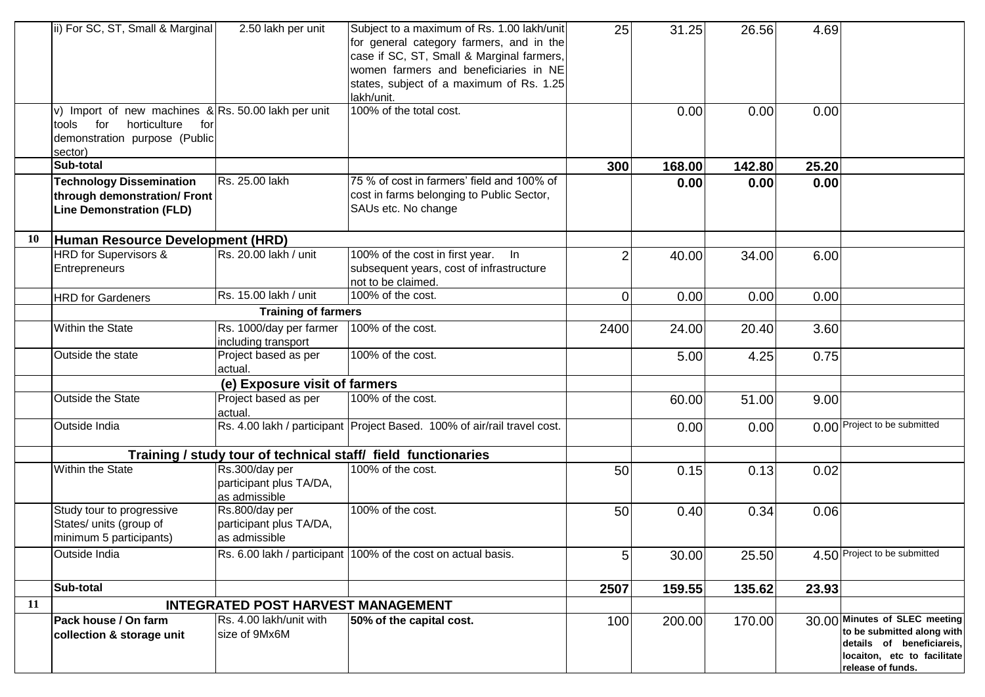|           | ii) For SC, ST, Small & Marginal                                                                                                       | 2.50 lakh per unit                                         | Subject to a maximum of Rs. 1.00 lakh/unit<br>for general category farmers, and in the<br>case if SC, ST, Small & Marginal farmers,<br>women farmers and beneficiaries in NE<br>states, subject of a maximum of Rs. 1.25<br>lakh/unit. | 25             | 31.25  | 26.56  | 4.69  |                                                                                                                                              |
|-----------|----------------------------------------------------------------------------------------------------------------------------------------|------------------------------------------------------------|----------------------------------------------------------------------------------------------------------------------------------------------------------------------------------------------------------------------------------------|----------------|--------|--------|-------|----------------------------------------------------------------------------------------------------------------------------------------------|
|           | v) Import of new machines $\&$ Rs. 50.00 lakh per unit<br>tools for<br>horticulture<br>for<br>demonstration purpose (Public<br>sector) |                                                            | 100% of the total cost.                                                                                                                                                                                                                |                | 0.00   | 0.00   | 0.00  |                                                                                                                                              |
|           | Sub-total                                                                                                                              |                                                            |                                                                                                                                                                                                                                        | 300            | 168.00 | 142.80 | 25.20 |                                                                                                                                              |
|           | <b>Technology Dissemination</b><br>through demonstration/ Front<br><b>Line Demonstration (FLD)</b>                                     | Rs. 25.00 lakh                                             | 75 % of cost in farmers' field and 100% of<br>cost in farms belonging to Public Sector,<br>SAUs etc. No change                                                                                                                         |                | 0.00   | 0.00   | 0.00  |                                                                                                                                              |
| <b>10</b> | Human Resource Development (HRD)                                                                                                       |                                                            |                                                                                                                                                                                                                                        |                |        |        |       |                                                                                                                                              |
|           | HRD for Supervisors &<br>Entrepreneurs                                                                                                 | Rs. 20.00 lakh / unit                                      | 100% of the cost in first year.<br>In<br>subsequent years, cost of infrastructure<br>not to be claimed.                                                                                                                                | $\overline{c}$ | 40.00  | 34.00  | 6.00  |                                                                                                                                              |
|           | <b>HRD</b> for Gardeners                                                                                                               | Rs. 15.00 lakh / unit                                      | 100% of the cost.                                                                                                                                                                                                                      | 0              | 0.00   | 0.00   | 0.00  |                                                                                                                                              |
|           |                                                                                                                                        | <b>Training of farmers</b>                                 |                                                                                                                                                                                                                                        |                |        |        |       |                                                                                                                                              |
|           | Within the State                                                                                                                       | Rs. 1000/day per farmer<br>including transport             | 100% of the cost.                                                                                                                                                                                                                      | 2400           | 24.00  | 20.40  | 3.60  |                                                                                                                                              |
|           | Outside the state                                                                                                                      | Project based as per<br>actual.                            | 100% of the cost.                                                                                                                                                                                                                      |                | 5.00   | 4.25   | 0.75  |                                                                                                                                              |
|           |                                                                                                                                        | (e) Exposure visit of farmers                              |                                                                                                                                                                                                                                        |                |        |        |       |                                                                                                                                              |
|           | Outside the State                                                                                                                      | Project based as per<br>actual.                            | 100% of the cost.                                                                                                                                                                                                                      |                | 60.00  | 51.00  | 9.00  |                                                                                                                                              |
|           | Outside India                                                                                                                          |                                                            | Rs. 4.00 lakh / participant Project Based. 100% of air/rail travel cost.                                                                                                                                                               |                | 0.00   | 0.00   |       | 0.00 Project to be submitted                                                                                                                 |
|           |                                                                                                                                        |                                                            | Training / study tour of technical staff/ field functionaries                                                                                                                                                                          |                |        |        |       |                                                                                                                                              |
|           | Within the State                                                                                                                       | Rs.300/day per<br>participant plus TA/DA,<br>as admissible | 100% of the cost.                                                                                                                                                                                                                      | 50             | 0.15   | 0.13   | 0.02  |                                                                                                                                              |
|           | Study tour to progressive<br>States/ units (group of<br>minimum 5 participants)                                                        | Rs.800/day per<br>participant plus TA/DA,<br>as admissible | 100% of the cost.                                                                                                                                                                                                                      | 50             | 0.40   | 0.34   | 0.06  |                                                                                                                                              |
|           | Outside India                                                                                                                          |                                                            | Rs. 6.00 lakh / participant 100% of the cost on actual basis.                                                                                                                                                                          | 5              | 30.00  | 25.50  |       | 4.50 Project to be submitted                                                                                                                 |
|           | Sub-total                                                                                                                              |                                                            |                                                                                                                                                                                                                                        | 2507           | 159.55 | 135.62 | 23.93 |                                                                                                                                              |
| 11        |                                                                                                                                        | <b>INTEGRATED POST HARVEST MANAGEMENT</b>                  |                                                                                                                                                                                                                                        |                |        |        |       |                                                                                                                                              |
|           | Pack house / On farm<br>collection & storage unit                                                                                      | Rs. 4.00 lakh/unit with<br>size of 9Mx6M                   | 50% of the capital cost.                                                                                                                                                                                                               | 100            | 200.00 | 170.00 |       | 30.00 Minutes of SLEC meeting<br>to be submitted along with<br>details of beneficiareis,<br>locaiton, etc to facilitate<br>release of funds. |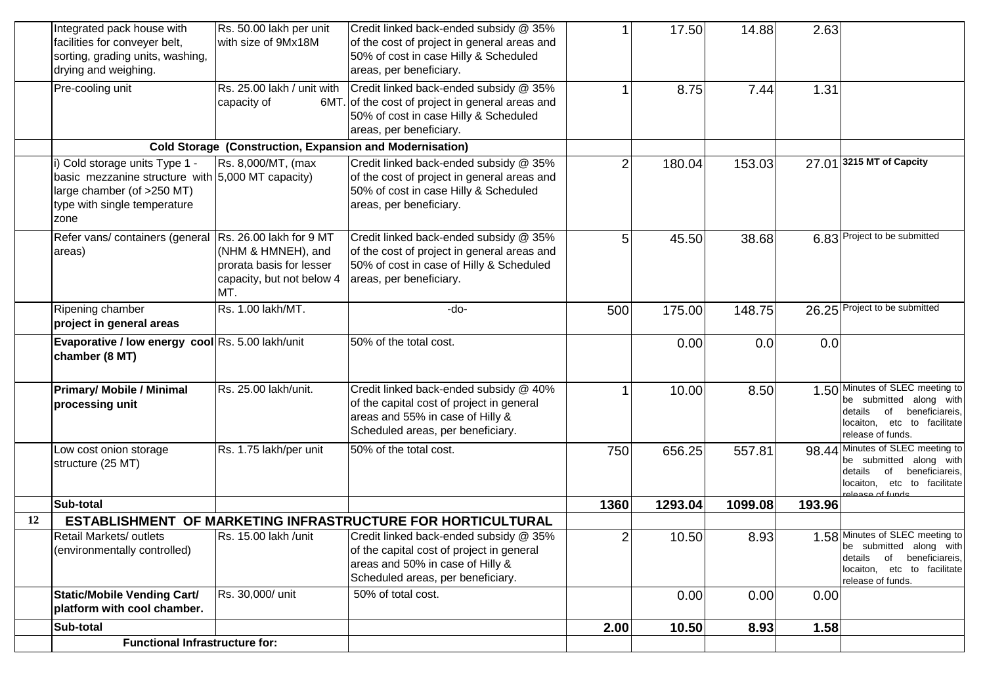|    | Integrated pack house with<br>facilities for conveyer belt,<br>sorting, grading units, washing,<br>drying and weighing.                                   | Rs. 50.00 lakh per unit<br>with size of 9Mx18M                                     | Credit linked back-ended subsidy @ 35%<br>of the cost of project in general areas and<br>50% of cost in case Hilly & Scheduled<br>areas, per beneficiary.    |      | 17.50   | 14.88   | 2.63   |                                                                                                                                                   |
|----|-----------------------------------------------------------------------------------------------------------------------------------------------------------|------------------------------------------------------------------------------------|--------------------------------------------------------------------------------------------------------------------------------------------------------------|------|---------|---------|--------|---------------------------------------------------------------------------------------------------------------------------------------------------|
|    | Pre-cooling unit                                                                                                                                          | Rs. 25.00 lakh / unit with<br>capacity of<br>6MT.                                  | Credit linked back-ended subsidy @ 35%<br>of the cost of project in general areas and<br>50% of cost in case Hilly & Scheduled<br>areas, per beneficiary.    |      | 8.75    | 7.44    | 1.31   |                                                                                                                                                   |
|    |                                                                                                                                                           | <b>Cold Storage (Construction, Expansion and Modernisation)</b>                    |                                                                                                                                                              |      |         |         |        |                                                                                                                                                   |
|    | i) Cold storage units Type 1 -<br>basic mezzanine structure with 5,000 MT capacity)<br>large chamber (of >250 MT)<br>type with single temperature<br>zone | Rs. 8,000/MT, (max                                                                 | Credit linked back-ended subsidy @ 35%<br>of the cost of project in general areas and<br>50% of cost in case Hilly & Scheduled<br>areas, per beneficiary.    | 2    | 180.04  | 153.03  |        | 27.01 3215 MT of Capcity                                                                                                                          |
|    | Refer vans/ containers (general Rs. 26.00 lakh for 9 MT<br>areas)                                                                                         | (NHM & HMNEH), and<br>prorata basis for lesser<br>capacity, but not below 4<br>MT. | Credit linked back-ended subsidy @ 35%<br>of the cost of project in general areas and<br>50% of cost in case of Hilly & Scheduled<br>areas, per beneficiary. | 5    | 45.50   | 38.68   |        | 6.83 Project to be submitted                                                                                                                      |
|    | Ripening chamber<br>project in general areas                                                                                                              | Rs. 1.00 lakh/MT.                                                                  | -do-                                                                                                                                                         | 500  | 175.00  | 148.75  |        | 26.25 Project to be submitted                                                                                                                     |
|    | Evaporative / low energy cool Rs. 5.00 lakh/unit<br>chamber (8 MT)                                                                                        |                                                                                    | 50% of the total cost.                                                                                                                                       |      | 0.00    | 0.0     | 0.0    |                                                                                                                                                   |
|    | <b>Primary/ Mobile / Minimal</b><br>processing unit                                                                                                       | Rs. 25.00 lakh/unit.                                                               | Credit linked back-ended subsidy @ 40%<br>of the capital cost of project in general<br>areas and 55% in case of Hilly &<br>Scheduled areas, per beneficiary. |      | 10.00   | 8.50    |        | 1.50 Minutes of SLEC meeting to<br>be submitted along with<br>details<br>of<br>beneficiareis,<br>locaiton, etc to facilitate<br>release of funds. |
|    | Low cost onion storage<br>structure (25 MT)                                                                                                               | Rs. 1.75 lakh/per unit                                                             | 50% of the total cost.                                                                                                                                       | 750  | 656.25  | 557.81  |        | 98.44 Minutes of SLEC meeting to<br>be submitted along with<br>of<br>beneficiareis.<br>details<br>locaiton, etc to facilitate<br>alease of funds  |
|    | Sub-total                                                                                                                                                 |                                                                                    |                                                                                                                                                              | 1360 | 1293.04 | 1099.08 | 193.96 |                                                                                                                                                   |
| 12 | <b>ESTABLISHMENT</b>                                                                                                                                      |                                                                                    | OF MARKETING INFRASTRUCTURE FOR HORTICULTURAL                                                                                                                |      |         |         |        |                                                                                                                                                   |
|    | Retail Markets/ outlets<br>(environmentally controlled)                                                                                                   | Rs. 15.00 lakh /unit                                                               | Credit linked back-ended subsidy @ 35%<br>of the capital cost of project in general<br>areas and 50% in case of Hilly &<br>Scheduled areas, per beneficiary. | 2    | 10.50   | 8.93    |        | 1.58 Minutes of SLEC meeting to<br>be submitted along with<br>details of beneficiareis,<br>locaiton, etc to facilitate<br>release of funds.       |
|    | <b>Static/Mobile Vending Cart/</b><br>platform with cool chamber.                                                                                         | Rs. 30,000/ unit                                                                   | 50% of total cost.                                                                                                                                           |      | 0.00    | 0.00    | 0.00   |                                                                                                                                                   |
|    | Sub-total                                                                                                                                                 |                                                                                    |                                                                                                                                                              | 2.00 | 10.50   | 8.93    | 1.58   |                                                                                                                                                   |
|    | <b>Functional Infrastructure for:</b>                                                                                                                     |                                                                                    |                                                                                                                                                              |      |         |         |        |                                                                                                                                                   |